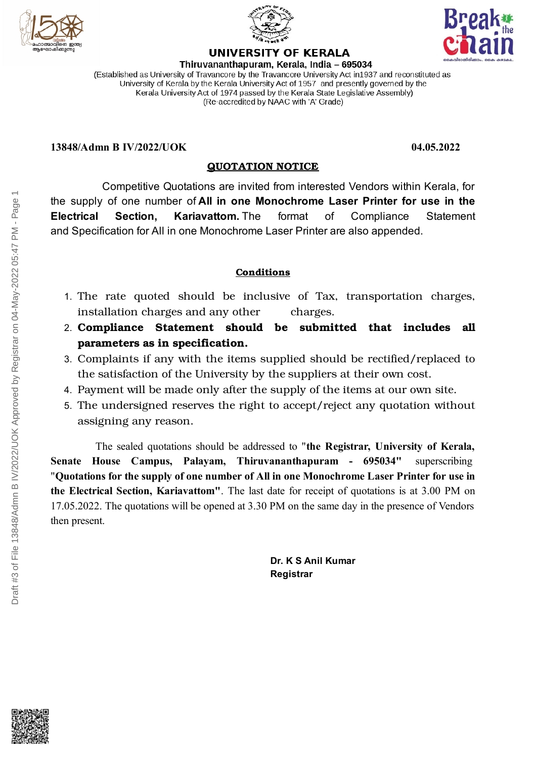



# **UNIVERSITY OF KERALA**



Thiruvananthapuram, Kerala, India - 695034 (Established as University of Travancore by the Travancore University Act in 1937 and reconstituted as University of Kerala by the Kerala University Act of 1957 and presently governed by the Kerala University Act of 1974 passed by the Kerala State Legislative Assembly) (Re-accredited by NAAC with 'A' Grade)

#### **13848/Admn B IV/2022/UOK 04.05.2022**

#### **QUOTATION NOTICE**

Competitive Quotations are invited from interested Vendors within Kerala, for the supply of one number of **All in one Monochrome Laser Printer for use in the Electrical Section, Kariavattom.** The format of Compliance Statement and Specification for All in one Monochrome Laser Printer are also appended.

### **Conditions**

- 1. The rate quoted should be inclusive of Tax, transportation charges, installation charges and any other charges.
- 2. **Compliance Statement should be submitted that includes all parameters as in specification.**
- 3. Complaints if any with the items supplied should be rectified/replaced to the satisfaction of the University by the suppliers at their own cost.
- 4. Payment will be made only after the supply of the items at our own site.
- 5. The undersigned reserves the right to accept/reject any quotation without assigning any reason.

The sealed quotations should be addressed to "**the Registrar, University of Kerala, Senate House Campus, Palayam, Thiruvananthapuram - 695034"** superscribing "**Quotations for the supply of one number of All in one Monochrome Laser Printer for use in the Electrical Section, Kariavattom"**. The last date for receipt of quotations is at 3.00 PM on 17.05.2022. The quotations will be opened at 3.30 PM on the same day in the presence of Vendors then present.

> **Dr. K S Anil Kumar Registrar**

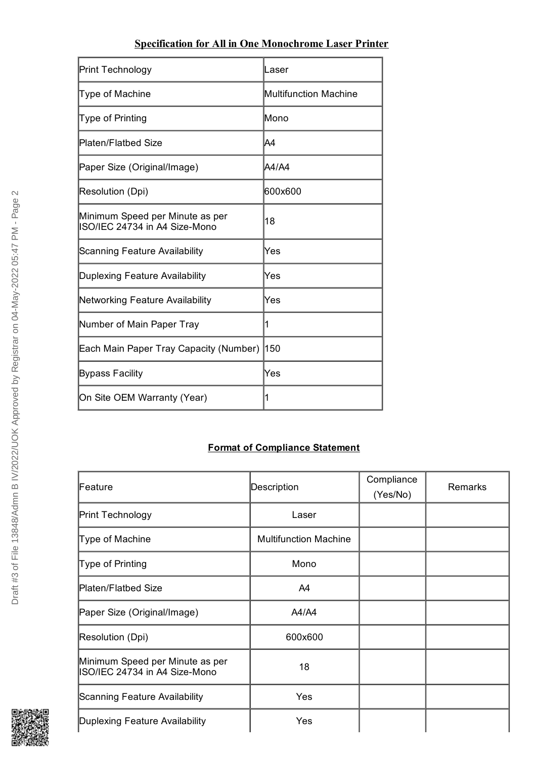## **Specification for All in One Monochrome Laser Printer**

| Print Technology                                                 | Laser                        |
|------------------------------------------------------------------|------------------------------|
| Type of Machine                                                  | <b>Multifunction Machine</b> |
| Type of Printing                                                 | Mono                         |
| <b>Platen/Flatbed Size</b>                                       | lA4                          |
| Paper Size (Original/Image)                                      | A4/A4                        |
| Resolution (Dpi)                                                 | 600x600                      |
| Minimum Speed per Minute as per<br>ISO/IEC 24734 in A4 Size-Mono | 18                           |
| Scanning Feature Availability                                    | Yes                          |
| Duplexing Feature Availability                                   | Yes                          |
| <b>Networking Feature Availability</b>                           | Yes                          |
| Number of Main Paper Tray                                        | 1                            |
| Each Main Paper Tray Capacity (Number)                           | 150                          |
| <b>Bypass Facility</b>                                           | Yes                          |
| On Site OEM Warranty (Year)                                      | 1                            |

### **Format of Compliance Statement**

| Feature                                                          | Description                  | Compliance<br>(Yes/No) | <b>Remarks</b> |
|------------------------------------------------------------------|------------------------------|------------------------|----------------|
| Print Technology                                                 | Laser                        |                        |                |
| Type of Machine                                                  | <b>Multifunction Machine</b> |                        |                |
| Type of Printing                                                 | Mono                         |                        |                |
| Platen/Flatbed Size                                              | A4                           |                        |                |
| Paper Size (Original/Image)                                      | A4/A4                        |                        |                |
| Resolution (Dpi)                                                 | 600x600                      |                        |                |
| Minimum Speed per Minute as per<br>ISO/IEC 24734 in A4 Size-Mono | 18                           |                        |                |
| Scanning Feature Availability                                    | Yes                          |                        |                |
| Duplexing Feature Availability                                   | Yes                          |                        |                |